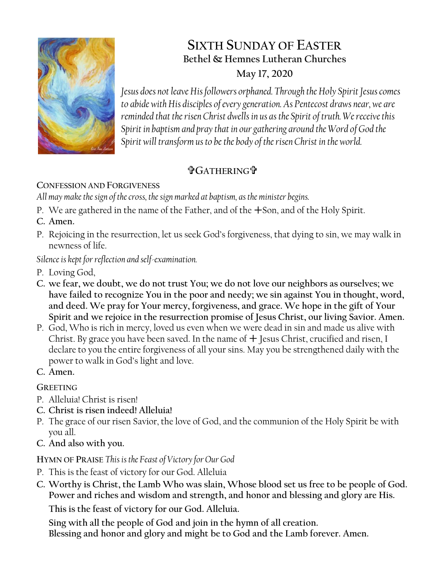

# **SIXTH SUNDAY OF EASTER Bethel & Hemnes Lutheran Churches May 17, 2020**

*Jesus does not leave His followers orphaned. Through the Holy Spirit Jesus comes to abide with His disciples of every generation. As Pentecost draws near, we are reminded that the risen Christ dwells in us as the Spirit of truth. We receive this Spirit in baptism and pray that in our gathering around the Word of God the*  Spirit will transform us to be the body of the risen Christ in the world.

# **GATHERING**

## **CONFESSION AND FORGIVENESS**

*All may make the sign of the cross, the sign marked at baptism, as the minister begins.*

- P. We are gathered in the name of the Father, and of the  $+$ Son, and of the Holy Spirit.
- **C. Amen.**
- P. Rejoicing in the resurrection, let us seek God's forgiveness, that dying to sin, we may walk in newness of life.

*Silence is kept for reflection and self-examination.*

- P. Loving God,
- **C. we fear, we doubt, we do not trust You; we do not love our neighbors as ourselves; we have failed to recognize You in the poor and needy; we sin against You in thought, word, and deed. We pray for Your mercy, forgiveness, and grace. We hope in the gift of Your Spirit and we rejoice in the resurrection promise of Jesus Christ, our living Savior. Amen.**
- P. God, Who is rich in mercy, loved us even when we were dead in sin and made us alive with Christ. By grace you have been saved. In the name of  $+$  Jesus Christ, crucified and risen, I declare to you the entire forgiveness of all your sins. May you be strengthened daily with the power to walk in God's light and love.
- **C. Amen.**

**GREETING**

- P. Alleluia! Christ is risen!
- **C. Christ is risen indeed! Alleluia!**
- P. The grace of our risen Savior, the love of God, and the communion of the Holy Spirit be with you all.
- **C. And also with you.**

**HYMN OF PRAISE** *This is the Feast of Victory for Our God*

- P. This is the feast of victory for our God. Alleluia
- **C. Worthy is Christ, the Lamb Who was slain, Whose blood set us free to be people of God. Power and riches and wisdom and strength, and honor and blessing and glory are His.**

**This is the feast of victory for our God. Alleluia.**

**Sing with all the people of God and join in the hymn of all creation.**

**Blessing and honor and glory and might be to God and the Lamb forever. Amen.**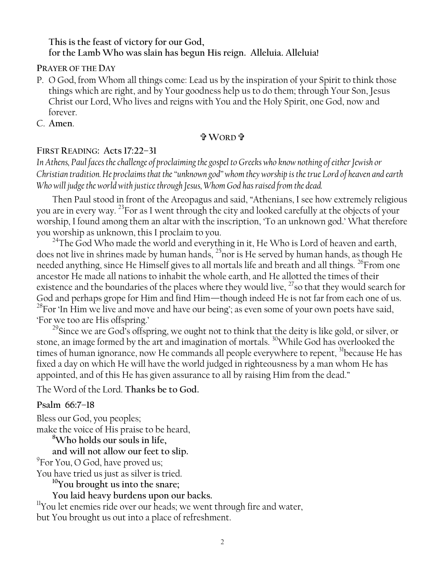#### **This is the feast of victory for our God, for the Lamb Who was slain has begun His reign. Alleluia. Alleluia!**

**PRAYER OF THE DAY**

- P. O God, from Whom all things come: Lead us by the inspiration of your Spirit to think those things which are right, and by Your goodness help us to do them; through Your Son, Jesus Christ our Lord, Who lives and reigns with You and the Holy Spirit, one God, now and forever.
- C. **Amen**.

#### **WORD**

#### **FIRST READING: Acts 17:22–31**

*In Athens, Paul faces the challenge of proclaiming the gospel to Greeks who know nothing of either Jewish or Christian tradition. He proclaims that the "unknown god" whom they worship is the true Lord of heaven and earth Who will judge the world with justice through Jesus, Whom God has raised from the dead.*

Then Paul stood in front of the Areopagus and said, "Athenians, I see how extremely religious you are in every way. <sup>23</sup>For as I went through the city and looked carefully at the objects of your worship, I found among them an altar with the inscription, 'To an unknown god.' What therefore you worship as unknown, this I proclaim to you.

 $^{24}$ The God Who made the world and everything in it, He Who is Lord of heaven and earth, does not live in shrines made by human hands, <sup>25</sup>nor is He served by human hands, as though He needed anything, since He Himself gives to all mortals life and breath and all things. <sup>26</sup>From one ancestor He made all nations to inhabit the whole earth, and He allotted the times of their existence and the boundaries of the places where they would live, <sup>27</sup>so that they would search for God and perhaps grope for Him and find Him—though indeed He is not far from each one of us.  $^{28}$ For 'In Him we live and move and have our being'; as even some of your own poets have said, 'For we too are His offspring.'

 $^{29}$ Since we are God's offspring, we ought not to think that the deity is like gold, or silver, or stone, an image formed by the art and imagination of mortals.<sup>30</sup>While God has overlooked the times of human ignorance, now He commands all people everywhere to repent, <sup>31</sup>because He has fixed a day on which He will have the world judged in righteousness by a man whom He has appointed, and of this He has given assurance to all by raising Him from the dead."

The Word of the Lord. **Thanks be to God.**

#### **Psalm 66:7–18**

Bless our God, you peoples; make the voice of His praise to be heard, **<sup>8</sup>Who holds our souls in life,**

**and will not allow our feet to slip.**

<sup>9</sup>For You, O God, have proved us;

You have tried us just as silver is tried.

**<sup>10</sup>You brought us into the snare;**

## **You laid heavy burdens upon our backs.**

<sup>11</sup>You let enemies ride over our heads; we went through fire and water, but You brought us out into a place of refreshment.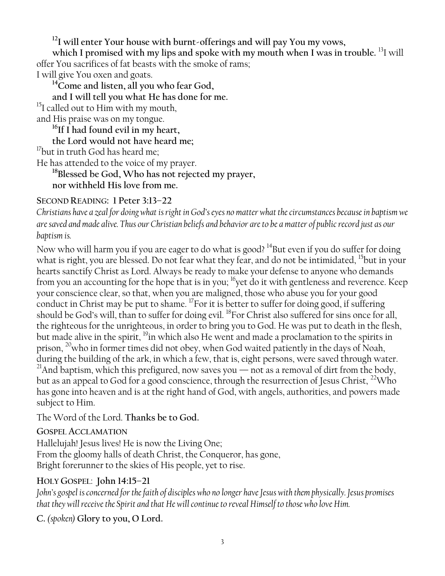**<sup>12</sup>I will enter Your house with burnt-offerings and will pay You my vows,**

which I promised with my lips and spoke with my mouth when I was in trouble. <sup>13</sup>I will offer You sacrifices of fat beasts with the smoke of rams;

I will give You oxen and goats.

**<sup>14</sup>Come and listen, all you who fear God,**

**and I will tell you what He has done for me.**

<sup>15</sup>I called out to Him with my mouth,

and His praise was on my tongue.

**<sup>16</sup>If I had found evil in my heart,**

**the Lord would not have heard me;**

<sup>17</sup>but in truth God has heard me;

He has attended to the voice of my prayer.

**<sup>18</sup>Blessed be God, Who has not rejected my prayer, nor withheld His love from me.**

#### **SECOND READING: 1 Peter 3:13–22**

*Christians have a zeal for doing what is right in God's eyes no matter what the circumstances because in baptism we are saved and made alive. Thus our Christian beliefs and behavior are to be a matter of public record just as our baptism is.*

Now who will harm you if you are eager to do what is good? <sup>14</sup>But even if you do suffer for doing what is right, you are blessed. Do not fear what they fear, and do not be intimidated, <sup>15</sup>but in your hearts sanctify Christ as Lord. Always be ready to make your defense to anyone who demands from you an accounting for the hope that is in you; <sup>16</sup>yet do it with gentleness and reverence. Keep your conscience clear, so that, when you are maligned, those who abuse you for your good conduct in Christ may be put to shame.  $^{17}$  For it is better to suffer for doing good, if suffering should be God's will, than to suffer for doing evil. <sup>18</sup>For Christ also suffered for sins once for all, the righteous for the unrighteous, in order to bring you to God. He was put to death in the flesh, but made alive in the spirit, <sup>19</sup>in which also He went and made a proclamation to the spirits in prison,  $^{20}$  who in former times did not obey, when God waited patiently in the days of Noah, during the building of the ark, in which a few, that is, eight persons, were saved through water. <sup>21</sup>And baptism, which this prefigured, now saves you — not as a removal of dirt from the body, but as an appeal to God for a good conscience, through the resurrection of Jesus Christ, <sup>22</sup>Who has gone into heaven and is at the right hand of God, with angels, authorities, and powers made subject to Him.

The Word of the Lord. **Thanks be to God.**

#### **GOSPEL ACCLAMATION**

Hallelujah! Jesus lives! He is now the Living One; From the gloomy halls of death Christ, the Conqueror, has gone, Bright forerunner to the skies of His people, yet to rise.

#### **HOLY GOSPEL**: **John 14:15–21**

*John's gospel is concerned for the faith of disciples who no longer have Jesus with them physically. Jesus promises that they will receive the Spirit and that He will continue to reveal Himself to those who love Him.*

**C.** *(spoken)* **Glory to you, O Lord.**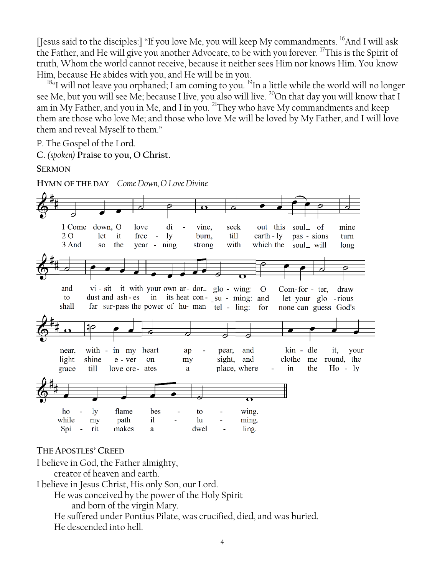[Jesus said to the disciples:] "If you love Me, you will keep My commandments. <sup>16</sup>And I will ask the Father, and He will give you another Advocate, to be with you forever. <sup>17</sup>This is the Spirit of truth, Whom the world cannot receive, because it neither sees Him nor knows Him. You know Him, because He abides with you, and He will be in you.

<sup>18</sup>"I will not leave you orphaned; I am coming to you. <sup>19</sup>In a little while the world will no longer see Me, but you will see Me; because I live, you also will live. <sup>20</sup>On that day you will know that I am in My Father, and you in Me, and I in you.  $^{21}$ They who have My commandments and keep them are those who love Me; and those who love Me will be loved by My Father, and I will love them and reveal Myself to them."

P. The Gospel of the Lord.

**C.** *(spoken)* **Praise to you, O Christ.**

**SERMON**

**HYMN OF THE DAY** *Come Down, O Love Divine*

| $\overline{\mathbf{v}}$<br>di<br>out this<br>soul_ of<br>1 Come down, O<br>love<br>vine,<br>seek<br>mine<br>till<br>earth $-1y$<br>2 O<br>let<br>free<br>ly<br>burn,<br>pas - sions<br><sub>it</sub><br>turn<br>$\sim$ $-$<br>which the<br>the<br>with<br>soul_ will<br>3 And<br>year - ning<br>long<br>SO <sub>1</sub><br>strong<br>vi - sit it with your own ar- dor_ glo - wing: O<br>and<br>$Com-for - ter,$<br>draw<br>dust and ash-es in its heat con-su - ming: and let your glo -rious<br>to<br>far sur-pass the power of hu-man tel - ling: for<br>shall<br>none can guess God's<br>and<br>kin - dle<br>with - in my heart<br>it,<br>near,<br>pear,<br>your<br>ap<br>clothe<br>shine<br>sight,<br>and<br>light<br>me<br>round, the<br>e - ver<br>on<br>my<br>the<br>$Ho - ly$<br>till<br>place, where<br>in<br>grace<br>love cre-ates<br>a<br>$\bullet$<br>ho<br>flame<br>wing.<br><b>ly</b><br>bes<br>to<br>while<br>path<br>$i\mathbf{l}$<br>lu<br>ming.<br>my<br>rit<br>Spi<br>makes<br>ling.<br>dwel<br>a. |  |  |  |  |  |  |  |
|-------------------------------------------------------------------------------------------------------------------------------------------------------------------------------------------------------------------------------------------------------------------------------------------------------------------------------------------------------------------------------------------------------------------------------------------------------------------------------------------------------------------------------------------------------------------------------------------------------------------------------------------------------------------------------------------------------------------------------------------------------------------------------------------------------------------------------------------------------------------------------------------------------------------------------------------------------------------------------------------------------------------------|--|--|--|--|--|--|--|
|                                                                                                                                                                                                                                                                                                                                                                                                                                                                                                                                                                                                                                                                                                                                                                                                                                                                                                                                                                                                                         |  |  |  |  |  |  |  |
|                                                                                                                                                                                                                                                                                                                                                                                                                                                                                                                                                                                                                                                                                                                                                                                                                                                                                                                                                                                                                         |  |  |  |  |  |  |  |
|                                                                                                                                                                                                                                                                                                                                                                                                                                                                                                                                                                                                                                                                                                                                                                                                                                                                                                                                                                                                                         |  |  |  |  |  |  |  |
|                                                                                                                                                                                                                                                                                                                                                                                                                                                                                                                                                                                                                                                                                                                                                                                                                                                                                                                                                                                                                         |  |  |  |  |  |  |  |
|                                                                                                                                                                                                                                                                                                                                                                                                                                                                                                                                                                                                                                                                                                                                                                                                                                                                                                                                                                                                                         |  |  |  |  |  |  |  |
|                                                                                                                                                                                                                                                                                                                                                                                                                                                                                                                                                                                                                                                                                                                                                                                                                                                                                                                                                                                                                         |  |  |  |  |  |  |  |
|                                                                                                                                                                                                                                                                                                                                                                                                                                                                                                                                                                                                                                                                                                                                                                                                                                                                                                                                                                                                                         |  |  |  |  |  |  |  |
|                                                                                                                                                                                                                                                                                                                                                                                                                                                                                                                                                                                                                                                                                                                                                                                                                                                                                                                                                                                                                         |  |  |  |  |  |  |  |
|                                                                                                                                                                                                                                                                                                                                                                                                                                                                                                                                                                                                                                                                                                                                                                                                                                                                                                                                                                                                                         |  |  |  |  |  |  |  |
|                                                                                                                                                                                                                                                                                                                                                                                                                                                                                                                                                                                                                                                                                                                                                                                                                                                                                                                                                                                                                         |  |  |  |  |  |  |  |
|                                                                                                                                                                                                                                                                                                                                                                                                                                                                                                                                                                                                                                                                                                                                                                                                                                                                                                                                                                                                                         |  |  |  |  |  |  |  |
|                                                                                                                                                                                                                                                                                                                                                                                                                                                                                                                                                                                                                                                                                                                                                                                                                                                                                                                                                                                                                         |  |  |  |  |  |  |  |
|                                                                                                                                                                                                                                                                                                                                                                                                                                                                                                                                                                                                                                                                                                                                                                                                                                                                                                                                                                                                                         |  |  |  |  |  |  |  |
|                                                                                                                                                                                                                                                                                                                                                                                                                                                                                                                                                                                                                                                                                                                                                                                                                                                                                                                                                                                                                         |  |  |  |  |  |  |  |
|                                                                                                                                                                                                                                                                                                                                                                                                                                                                                                                                                                                                                                                                                                                                                                                                                                                                                                                                                                                                                         |  |  |  |  |  |  |  |
|                                                                                                                                                                                                                                                                                                                                                                                                                                                                                                                                                                                                                                                                                                                                                                                                                                                                                                                                                                                                                         |  |  |  |  |  |  |  |
|                                                                                                                                                                                                                                                                                                                                                                                                                                                                                                                                                                                                                                                                                                                                                                                                                                                                                                                                                                                                                         |  |  |  |  |  |  |  |
|                                                                                                                                                                                                                                                                                                                                                                                                                                                                                                                                                                                                                                                                                                                                                                                                                                                                                                                                                                                                                         |  |  |  |  |  |  |  |
|                                                                                                                                                                                                                                                                                                                                                                                                                                                                                                                                                                                                                                                                                                                                                                                                                                                                                                                                                                                                                         |  |  |  |  |  |  |  |
|                                                                                                                                                                                                                                                                                                                                                                                                                                                                                                                                                                                                                                                                                                                                                                                                                                                                                                                                                                                                                         |  |  |  |  |  |  |  |
|                                                                                                                                                                                                                                                                                                                                                                                                                                                                                                                                                                                                                                                                                                                                                                                                                                                                                                                                                                                                                         |  |  |  |  |  |  |  |
|                                                                                                                                                                                                                                                                                                                                                                                                                                                                                                                                                                                                                                                                                                                                                                                                                                                                                                                                                                                                                         |  |  |  |  |  |  |  |
|                                                                                                                                                                                                                                                                                                                                                                                                                                                                                                                                                                                                                                                                                                                                                                                                                                                                                                                                                                                                                         |  |  |  |  |  |  |  |
|                                                                                                                                                                                                                                                                                                                                                                                                                                                                                                                                                                                                                                                                                                                                                                                                                                                                                                                                                                                                                         |  |  |  |  |  |  |  |
|                                                                                                                                                                                                                                                                                                                                                                                                                                                                                                                                                                                                                                                                                                                                                                                                                                                                                                                                                                                                                         |  |  |  |  |  |  |  |
|                                                                                                                                                                                                                                                                                                                                                                                                                                                                                                                                                                                                                                                                                                                                                                                                                                                                                                                                                                                                                         |  |  |  |  |  |  |  |
|                                                                                                                                                                                                                                                                                                                                                                                                                                                                                                                                                                                                                                                                                                                                                                                                                                                                                                                                                                                                                         |  |  |  |  |  |  |  |

**THE APOSTLES' CREED**

I believe in God, the Father almighty,

creator of heaven and earth.

I believe in Jesus Christ, His only Son, our Lord.

He was conceived by the power of the Holy Spirit

and born of the virgin Mary.

He suffered under Pontius Pilate, was crucified, died, and was buried. He descended into hell.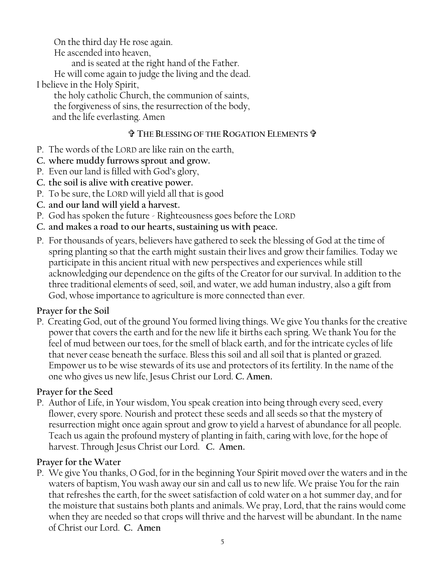On the third day He rose again.

He ascended into heaven,

and is seated at the right hand of the Father.

He will come again to judge the living and the dead. I believe in the Holy Spirit,

the holy catholic Church, the communion of saints, the forgiveness of sins, the resurrection of the body, and the life everlasting. Amen

#### **THE BLESSING OF THE ROGATION ELEMENTS**

- P. The words of the LORD are like rain on the earth,
- **C. where muddy furrows sprout and grow.**
- P. Even our land is filled with God's glory,
- **C. the soil is alive with creative power.**
- P. To be sure, the LORD will yield all that is good
- **C. and our land will yield a harvest.**
- P. God has spoken the future Righteousness goes before the LORD
- **C. and makes a road to our hearts, sustaining us with peace.**
- P. For thousands of years, believers have gathered to seek the blessing of God at the time of spring planting so that the earth might sustain their lives and grow their families. Today we participate in this ancient ritual with new perspectives and experiences while still acknowledging our dependence on the gifts of the Creator for our survival. In addition to the three traditional elements of seed, soil, and water, we add human industry, also a gift from God, whose importance to agriculture is more connected than ever.

## **Prayer for the Soil**

P. Creating God, out of the ground You formed living things. We give You thanks for the creative power that covers the earth and for the new life it births each spring. We thank You for the feel of mud between our toes, for the smell of black earth, and for the intricate cycles of life that never cease beneath the surface. Bless this soil and all soil that is planted or grazed. Empower us to be wise stewards of its use and protectors of its fertility. In the name of the one who gives us new life, Jesus Christ our Lord. **C. Amen.**

## **Prayer for the Seed**

P. Author of Life, in Your wisdom, You speak creation into being through every seed, every flower, every spore. Nourish and protect these seeds and all seeds so that the mystery of resurrection might once again sprout and grow to yield a harvest of abundance for all people. Teach us again the profound mystery of planting in faith, caring with love, for the hope of harvest. Through Jesus Christ our Lord. **C. Amen.**

## **Prayer for the Water**

P. We give You thanks, O God, for in the beginning Your Spirit moved over the waters and in the waters of baptism, You wash away our sin and call us to new life. We praise You for the rain that refreshes the earth, for the sweet satisfaction of cold water on a hot summer day, and for the moisture that sustains both plants and animals. We pray, Lord, that the rains would come when they are needed so that crops will thrive and the harvest will be abundant. In the name of Christ our Lord. **C. Amen**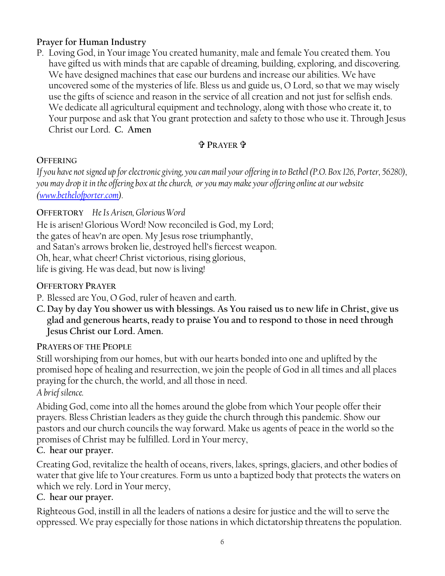#### **Prayer for Human Industry**

P. Loving God, in Your image You created humanity, male and female You created them. You have gifted us with minds that are capable of dreaming, building, exploring, and discovering. We have designed machines that ease our burdens and increase our abilities. We have uncovered some of the mysteries of life. Bless us and guide us, O Lord, so that we may wisely use the gifts of science and reason in the service of all creation and not just for selfish ends. We dedicate all agricultural equipment and technology, along with those who create it, to Your purpose and ask that You grant protection and safety to those who use it. Through Jesus Christ our Lord. **C. Amen**

#### **PRAYER**

#### **OFFERING**

*If you have not signed up for electronic giving, you can mail your offering in to Bethel (P.O. Box 126, Porter, 56280), you may drop it in the offering box at the church, or you may make your offering online at our website [\(www.bethelofporter.com\)](http://www.bethelofporter.com/).* 

#### **OFFERTORY** *He Is Arisen, Glorious Word*

He is arisen! Glorious Word! Now reconciled is God, my Lord; the gates of heav'n are open. My Jesus rose triumphantly, and Satan's arrows broken lie, destroyed hell's fiercest weapon. Oh, hear, what cheer! Christ victorious, rising glorious, life is giving. He was dead, but now is living!

#### **OFFERTORY PRAYER**

P. Blessed are You, O God, ruler of heaven and earth.

**C. Day by day You shower us with blessings. As You raised us to new life in Christ, give us glad and generous hearts, ready to praise You and to respond to those in need through Jesus Christ our Lord. Amen.**

#### **PRAYERS OF THE PEOPLE**

Still worshiping from our homes, but with our hearts bonded into one and uplifted by the promised hope of healing and resurrection, we join the people of God in all times and all places praying for the church, the world, and all those in need.

*A brief silence.*

Abiding God, come into all the homes around the globe from which Your people offer their prayers. Bless Christian leaders as they guide the church through this pandemic. Show our pastors and our church councils the way forward. Make us agents of peace in the world so the promises of Christ may be fulfilled. Lord in Your mercy,

#### **C. hear our prayer.**

Creating God, revitalize the health of oceans, rivers, lakes, springs, glaciers, and other bodies of water that give life to Your creatures. Form us unto a baptized body that protects the waters on which we rely. Lord in Your mercy,

#### **C. hear our prayer.**

Righteous God, instill in all the leaders of nations a desire for justice and the will to serve the oppressed. We pray especially for those nations in which dictatorship threatens the population.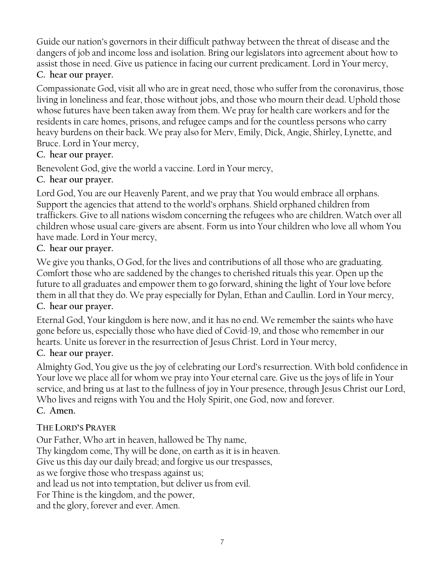Guide our nation's governors in their difficult pathway between the threat of disease and the dangers of job and income loss and isolation. Bring our legislators into agreement about how to assist those in need. Give us patience in facing our current predicament. Lord in Your mercy,

## **C. hear our prayer.**

Compassionate God, visit all who are in great need, those who suffer from the coronavirus, those living in loneliness and fear, those without jobs, and those who mourn their dead. Uphold those whose futures have been taken away from them. We pray for health care workers and for the residents in care homes, prisons, and refugee camps and for the countless persons who carry heavy burdens on their back. We pray also for Merv, Emily, Dick, Angie, Shirley, Lynette, and Bruce. Lord in Your mercy,

## **C. hear our prayer.**

Benevolent God, give the world a vaccine. Lord in Your mercy,

## **C. hear our prayer.**

Lord God, You are our Heavenly Parent, and we pray that You would embrace all orphans. Support the agencies that attend to the world's orphans. Shield orphaned children from traffickers. Give to all nations wisdom concerning the refugees who are children. Watch over all children whose usual care-givers are absent. Form us into Your children who love all whom You have made. Lord in Your mercy,

## **C. hear our prayer.**

We give you thanks, O God, for the lives and contributions of all those who are graduating. Comfort those who are saddened by the changes to cherished rituals this year. Open up the future to all graduates and empower them to go forward, shining the light of Your love before them in all that they do. We pray especially for Dylan, Ethan and Caullin. Lord in Your mercy, **C. hear our prayer.**

Eternal God, Your kingdom is here now, and it has no end. We remember the saints who have gone before us, especially those who have died of Covid-19, and those who remember in our hearts. Unite us forever in the resurrection of Jesus Christ. Lord in Your mercy,

#### **C. hear our prayer.**

Almighty God, You give us the joy of celebrating our Lord's resurrection. With bold confidence in Your love we place all for whom we pray into Your eternal care. Give us the joys of life in Your service, and bring us at last to the fullness of joy in Your presence, through Jesus Christ our Lord, Who lives and reigns with You and the Holy Spirit, one God, now and forever. **C. Amen.**

## **THE LORD'S PRAYER**

Our Father, Who art in heaven, hallowed be Thy name, Thy kingdom come, Thy will be done, on earth as it is in heaven. Give us this day our daily bread; and forgive us our trespasses, as we forgive those who trespass against us; and lead us not into temptation, but deliver us from evil. For Thine is the kingdom, and the power, and the glory, forever and ever. Amen.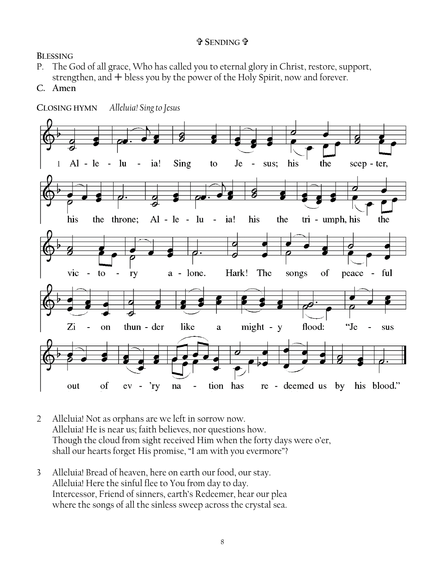#### **SENDING**

**BLESSING**

- P. The God of all grace, Who has called you to eternal glory in Christ, restore, support, strengthen, and  $+$  bless you by the power of the Holy Spirit, now and forever.
- C. Amen



- 2 Alleluia! Not as orphans are we left in sorrow now. Alleluia! He is near us; faith believes, nor questions how. Though the cloud from sight received Him when the forty days were o'er, shall our hearts forget His promise, "I am with you evermore"?
- 3 Alleluia! Bread of heaven, here on earth our food, our stay. Alleluia! Here the sinful flee to You from day to day. Intercessor, Friend of sinners, earth's Redeemer, hear our plea where the songs of all the sinless sweep across the crystal sea.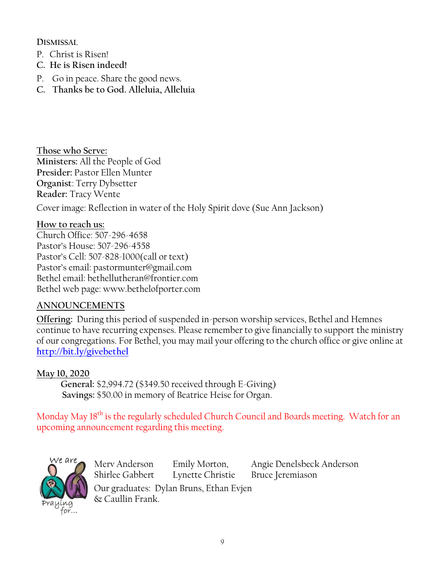**DISMISSAL** 

- P. Christ is Risen!
- **C. He is Risen indeed!**
- P. Go in peace. Share the good news.
- **C. Thanks be to God. Alleluia, Alleluia**

**Those who Serve: Ministers:** All the People of God **Presider:** Pastor Ellen Munter **Organist**: Terry Dybsetter **Reader:** Tracy Wente Cover image: Reflection in water of the Holy Spirit dove (Sue Ann Jackson)

#### **How to reach us:**

Church Office: 507-296-4658 Pastor's House: 507-296-4558 Pastor's Cell: 507-828-1000(call or text) Pastor's email: pastormunter@gmail.com Bethel email: bethellutheran@frontier.com Bethel web page: www.bethelofporter.com

#### **ANNOUNCEMENTS**

**Offering:** During this period of suspended in-person worship services, Bethel and Hemnes continue to have recurring expenses. Please remember to give financially to support the ministry of our congregations. For Bethel, you may mail your offering to the church office or give online at **<http://bit.ly/givebethel>**

#### **May 10, 2020**

 **General:** \$2,994.72 (\$349.50 received through E-Giving)  **Savings:** \$50.00 in memory of Beatrice Heise for Organ.

Monday May 18<sup>th</sup> is the regularly scheduled Church Council and Boards meeting. Watch for an upcoming announcement regarding this meeting.



Merv Anderson Emily Morton, Angie Denelsbeck Anderson Shirlee Gabbert Lynette Christie Bruce Jeremiason Our graduates: Dylan Bruns, Ethan Evjen & Caullin Frank.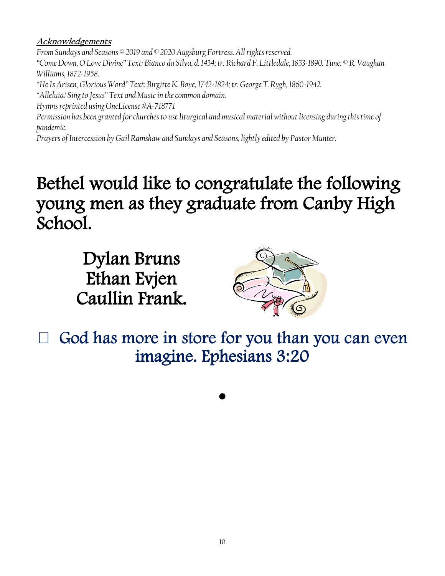#### **Acknowledgements**

*From Sundays and Seasons © 2019 and © 2020 Augsburg Fortress. All rights reserved. "Come Down, O Love Divine" Text: Bianco da Silva, d. 1434; tr. Richard F. Littledale, 1833-1890. Tune: © R. Vaughan Williams, 1872-1958. "He Is Arisen, Glorious Word" Text: Birgitte K. Boye, 1742-1824; tr. George T. Rygh, 1860-1942. "Alleluia! Sing to Jesus" Text and Music in the common domain. Hymns reprinted using OneLicense #A-718771 Permission has been granted for churches to use liturgical and musical material without licensing during this time of pandemic. Prayers of Intercession by Gail Ramshaw and Sundays and Seasons, lightly edited by Pastor Munter.*

# Bethel would like to congratulate the following young men as they graduate from Canby High School.

Dylan Bruns Ethan Evjen Caullin Frank.



God has more in store for you than you can even imagine. Ephesians 3:20

 $\bullet$